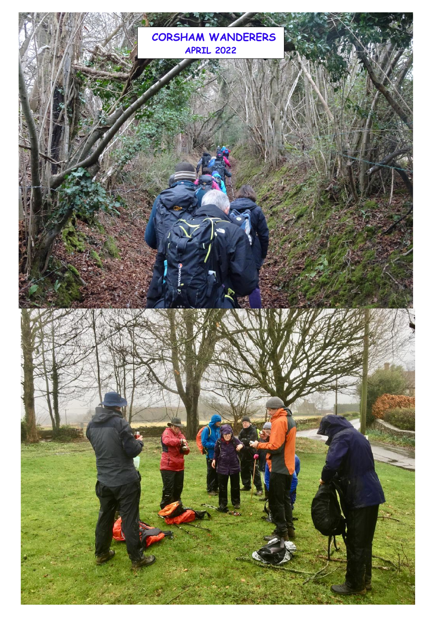